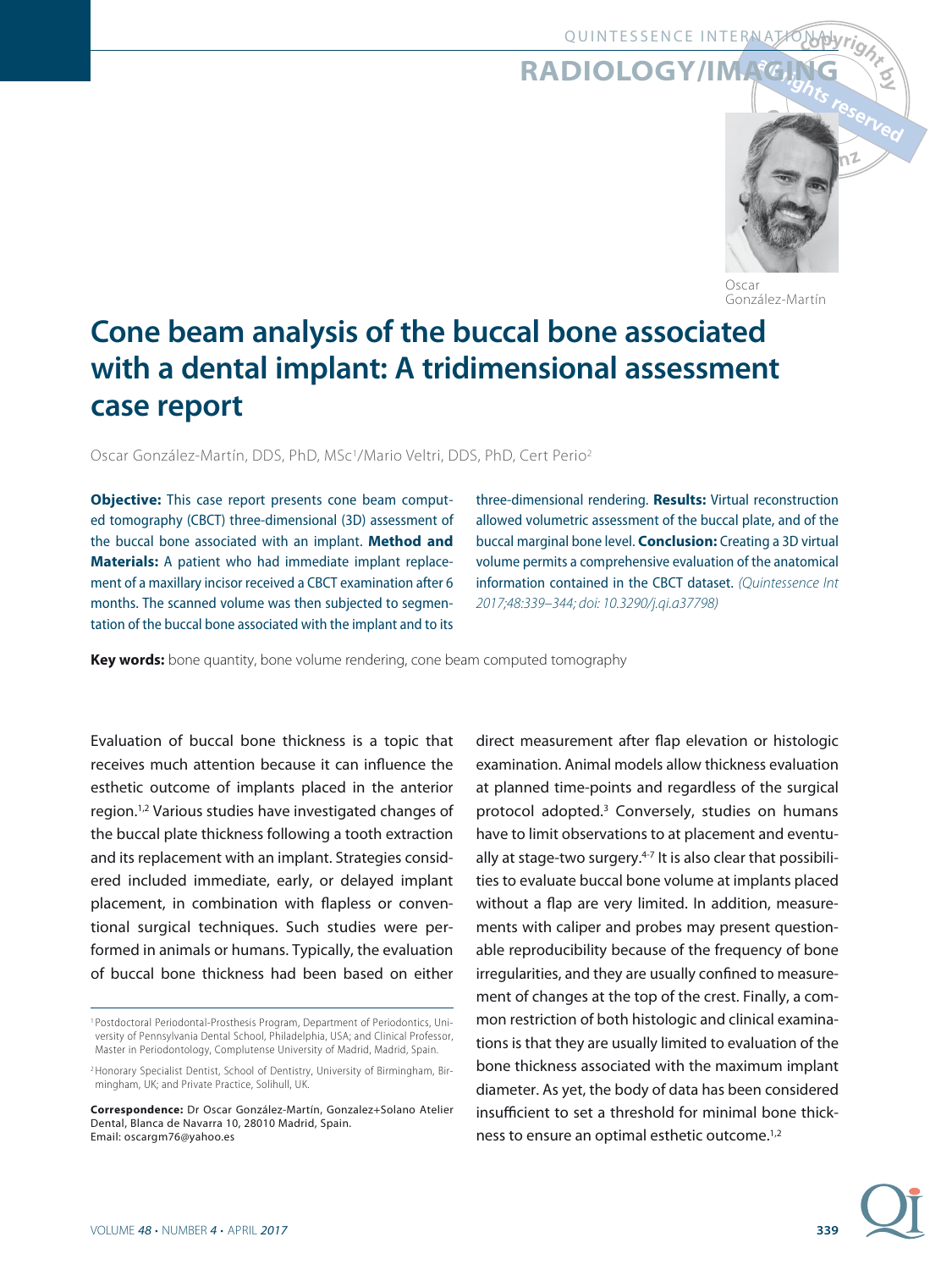# **RADIOLOGY/IMAGI**



Oscar González-Martín

# **Cone beam analysis of the buccal bone associated with a dental implant: A tridimensional assessment case report**

Oscar González-Martín, DDS, PhD, MSc1/Mario Veltri, DDS, PhD, Cert Perio2

**Objective:** This case report presents cone beam computed tomography (CBCT) three-dimensional (3D) assessment of the buccal bone associated with an implant. **Method and Materials:** A patient who had immediate implant replacement of a maxillary incisor received a CBCT examination after 6 months. The scanned volume was then subjected to segmentation of the buccal bone associated with the implant and to its three-dimensional rendering. **Results:** Virtual reconstruction allowed volumetric assessment of the buccal plate, and of the buccal marginal bone level. **Conclusion:** Creating a 3D virtual volume permits a comprehensive evaluation of the anatomical information contained in the CBCT dataset. (Quintessence Int 2017;48:339-344; doi: 10.3290/j.qi.a37798)

**Key words:** bone quantity, bone volume rendering, cone beam computed tomography

Evaluation of buccal bone thickness is a topic that receives much attention because it can influence the esthetic outcome of implants placed in the anterior region.1,2 Various studies have investigated changes of the buccal plate thickness following a tooth extraction and its replacement with an implant. Strategies considered included immediate, early, or delayed implant placement, in combination with flapless or conventional surgical techniques. Such studies were performed in animals or humans. Typically, the evaluation of buccal bone thickness had been based on either

direct measurement after flap elevation or histologic examination. Animal models allow thickness evaluation at planned time-points and regardless of the surgical protocol adopted.3 Conversely, studies on humans have to limit observations to at placement and eventually at stage-two surgery. $4-7$  It is also clear that possibilities to evaluate buccal bone volume at implants placed without a flap are very limited. In addition, measurements with caliper and probes may present questionable reproducibility because of the frequency of bone irregularities, and they are usually confined to measurement of changes at the top of the crest. Finally, a common restriction of both histologic and clinical examinations is that they are usually limited to evaluation of the bone thickness associated with the maximum implant diameter. As yet, the body of data has been considered insufficient to set a threshold for minimal bone thickness to ensure an optimal esthetic outcome.1,2



<sup>1</sup> Postdoctoral Periodontal-Prosthesis Program, Department of Periodontics, University of Pennsylvania Dental School, Philadelphia, USA; and Clinical Professor, Master in Periodontology, Complutense University of Madrid, Madrid, Spain.

<sup>&</sup>lt;sup>2</sup> Honorary Specialist Dentist, School of Dentistry, University of Birmingham, Birmingham, UK; and Private Practice, Solihull, UK.

**Correspondence:** Dr Oscar González-Martín, Gonzalez+Solano Atelier Dental, Blanca de Navarra 10, 28010 Madrid, Spain. Email: oscargm76@yahoo.es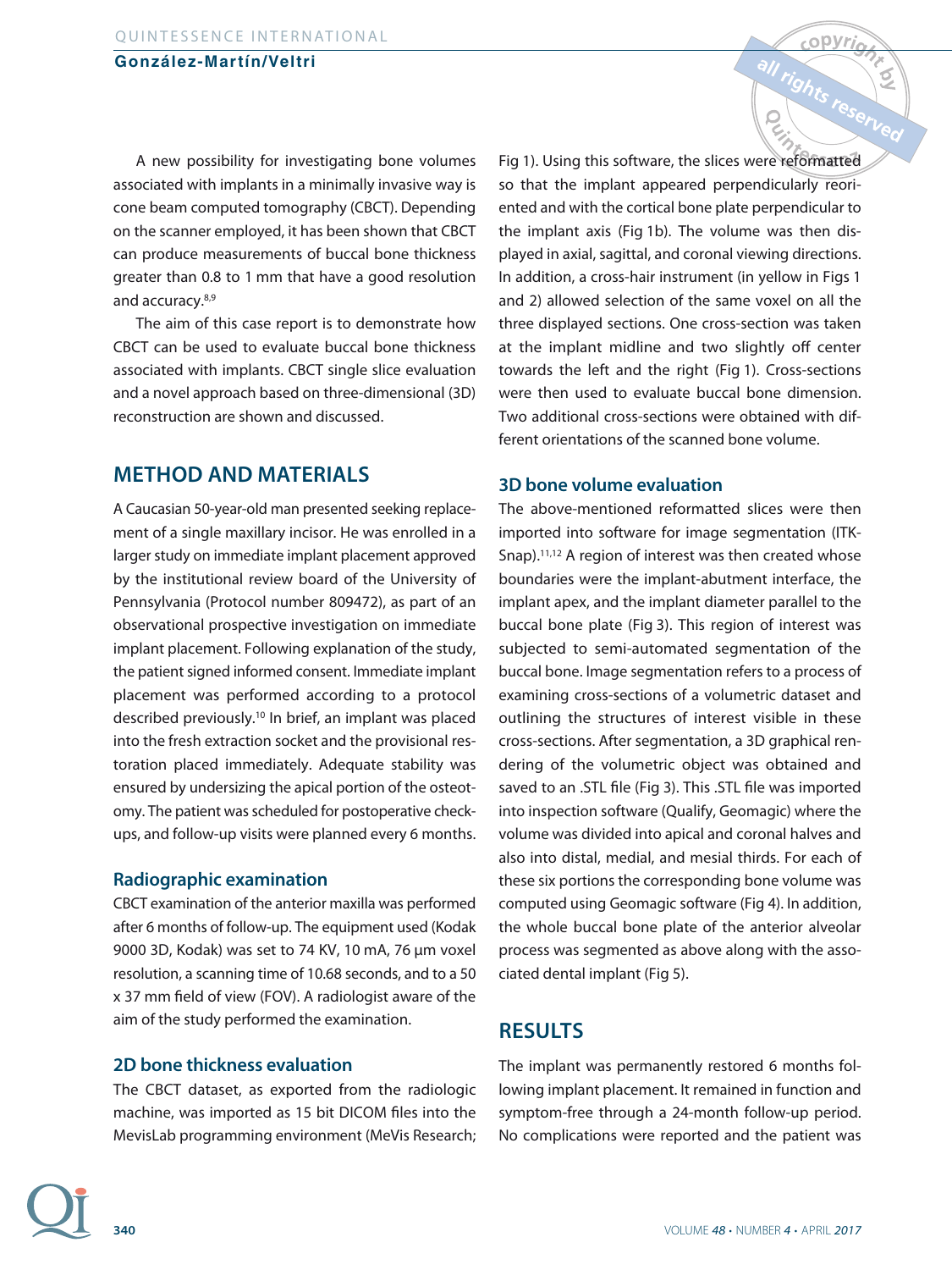### **González-Martín/Veltri**

A new possibility for investigating bone volumes associated with implants in a minimally invasive way is cone beam computed tomography (CBCT). Depending on the scanner employed, it has been shown that CBCT can produce measurements of buccal bone thickness greater than 0.8 to 1 mm that have a good resolution and accuracy.8,9

The aim of this case report is to demonstrate how CBCT can be used to evaluate buccal bone thickness associated with implants. CBCT single slice evaluation and a novel approach based on three-dimensional (3D) reconstruction are shown and discussed.

# **METHOD AND MATERIALS**

A Caucasian 50-year-old man presented seeking replacement of a single maxillary incisor. He was enrolled in a larger study on immediate implant placement approved by the institutional review board of the University of Pennsylvania (Protocol number 809472), as part of an observational prospective investigation on immediate implant placement. Following explanation of the study, the patient signed informed consent. Immediate implant placement was performed according to a protocol described previously.10 In brief, an implant was placed into the fresh extraction socket and the provisional restoration placed immediately. Adequate stability was ensured by undersizing the apical portion of the osteotomy. The patient was scheduled for postoperative checkups, and follow-up visits were planned every 6 months.

### **Radiographic examination**

CBCT examination of the anterior maxilla was performed after 6 months of follow-up. The equipment used (Kodak 9000 3D, Kodak) was set to 74 KV, 10 mA, 76 μm voxel resolution, a scanning time of 10.68 seconds, and to a 50 x 37 mm field of view (FOV). A radiologist aware of the aim of the study performed the examination.

### **2D bone thickness evaluation**

The CBCT dataset, as exported from the radiologic machine, was imported as 15 bit DICOM files into the MevisLab programming environment (MeVis Research; Fig 1). Using this software, the slices were reformatted so that the implant appeared perpendicularly reoriented and with the cortical bone plate perpendicular to the implant axis (Fig 1b). The volume was then displayed in axial, sagittal, and coronal viewing directions. In addition, a cross-hair instrument (in yellow in Figs 1 and 2) allowed selection of the same voxel on all the three displayed sections. One cross-section was taken at the implant midline and two slightly off center towards the left and the right (Fig 1). Cross-sections were then used to evaluate buccal bone dimension. Two additional cross-sections were obtained with different orientations of the scanned bone volume.

all rights res

### **3D bone volume evaluation**

The above-mentioned reformatted slices were then imported into software for image segmentation (ITK-Snap).<sup>11,12</sup> A region of interest was then created whose boundaries were the implant-abutment interface, the implant apex, and the implant diameter parallel to the buccal bone plate (Fig 3). This region of interest was subjected to semi-automated segmentation of the buccal bone. Image segmentation refers to a process of examining cross-sections of a volumetric dataset and outlining the structures of interest visible in these cross-sections. After segmentation, a 3D graphical rendering of the volumetric object was obtained and saved to an .STL file (Fig 3). This .STL file was imported into inspection software (Qualify, Geomagic) where the volume was divided into apical and coronal halves and also into distal, medial, and mesial thirds. For each of these six portions the corresponding bone volume was computed using Geomagic software (Fig 4). In addition, the whole buccal bone plate of the anterior alveolar process was segmented as above along with the associated dental implant (Fig 5).

# **RESULTS**

The implant was permanently restored 6 months following implant placement. It remained in function and symptom-free through a 24-month follow-up period. No complications were reported and the patient was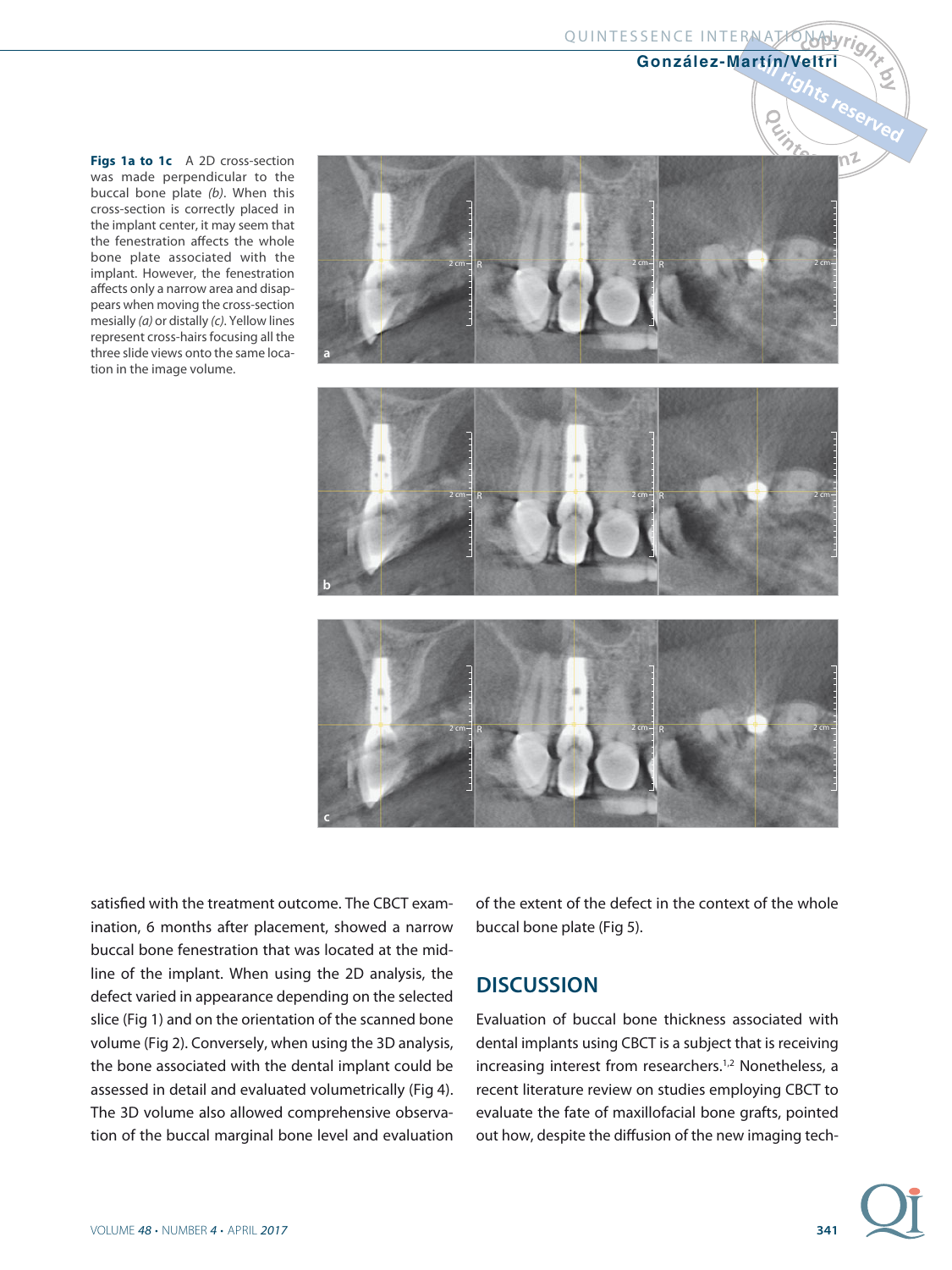# QUINTESSENCE INTERNATIONALY

## **González-Martín/Veltri**

 $\tilde{Q}$ 

Figs 1a to 1c A 2D cross-section was made perpendicular to the buccal bone plate (b). When this cross-section is correctly placed in the implant center, it may seem that the fenestration affects the whole bone plate associated with the implant. However, the fenestration affects only a narrow area and disappears when moving the cross-section mesially (a) or distally (c). Yellow lines represent cross-hairs focusing all the three slide views onto the same location in the image volume.



satisfied with the treatment outcome. The CBCT examination, 6 months after placement, showed a narrow buccal bone fenestration that was located at the midline of the implant. When using the 2D analysis, the defect varied in appearance depending on the selected slice (Fig 1) and on the orientation of the scanned bone volume (Fig 2). Conversely, when using the 3D analysis, the bone associated with the dental implant could be assessed in detail and evaluated volumetrically (Fig 4). The 3D volume also allowed comprehensive observation of the buccal marginal bone level and evaluation of the extent of the defect in the context of the whole buccal bone plate (Fig 5).

# **DISCUSSION**

Evaluation of buccal bone thickness associated with dental implants using CBCT is a subject that is receiving increasing interest from researchers.<sup>1,2</sup> Nonetheless, a recent literature review on studies employing CBCT to evaluate the fate of maxillofacial bone grafts, pointed out how, despite the diffusion of the new imaging tech-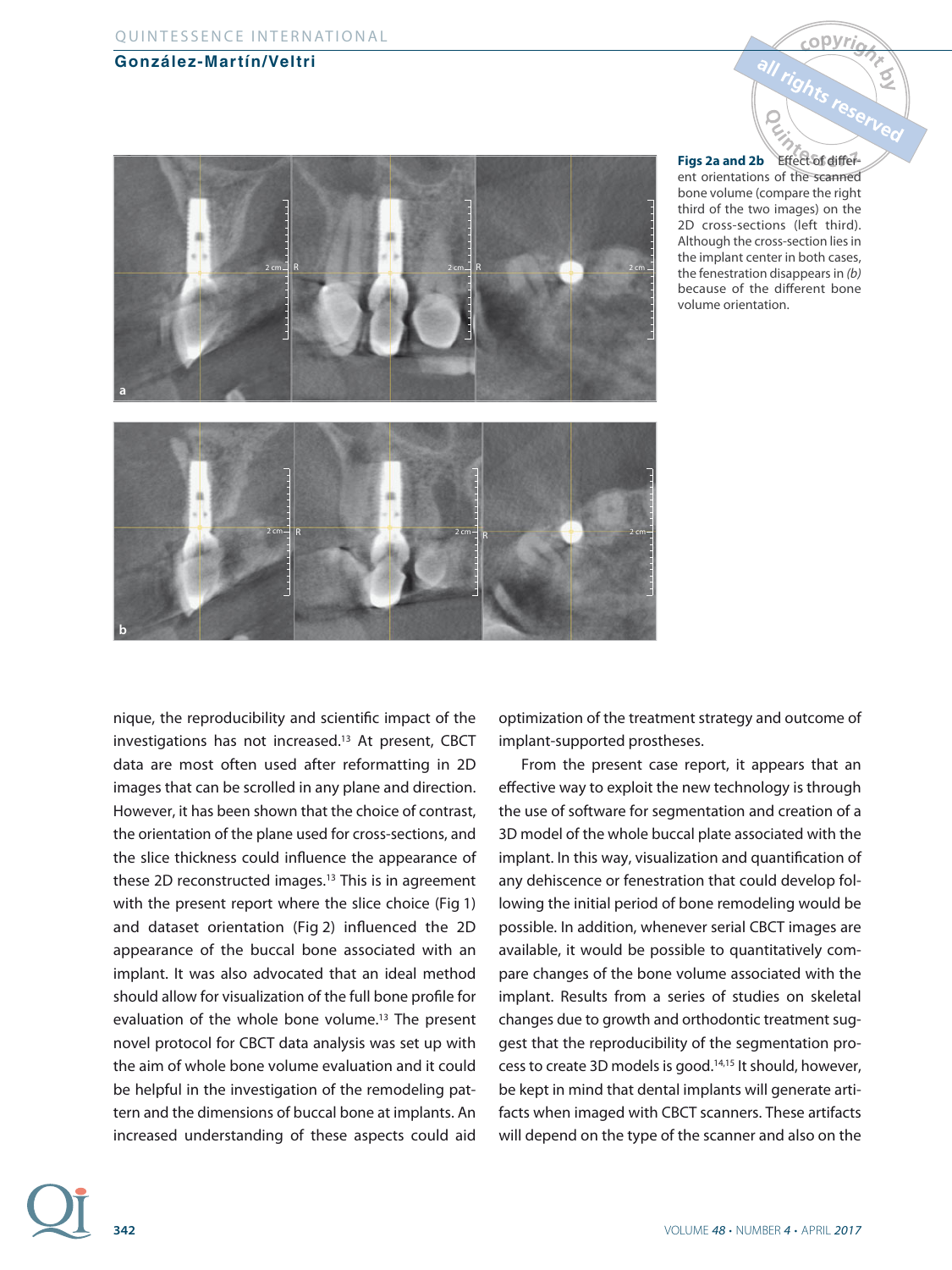## **González-Martín/Veltri**





**Figs 2a and 2b** Effect of different orientations of the scanned bone volume (compare the right third of the two images) on the 2D cross-sections (left third). Although the cross-section lies in the implant center in both cases, the fenestration disappears in (b) because of the different bone volume orientation.

nique, the reproducibility and scientific impact of the investigations has not increased.13 At present, CBCT data are most often used after reformatting in 2D images that can be scrolled in any plane and direction. However, it has been shown that the choice of contrast, the orientation of the plane used for cross-sections, and the slice thickness could influence the appearance of these 2D reconstructed images.<sup>13</sup> This is in agreement with the present report where the slice choice (Fig 1) and dataset orientation (Fig 2) influenced the 2D appearance of the buccal bone associated with an implant. It was also advocated that an ideal method should allow for visualization of the full bone profile for evaluation of the whole bone volume.<sup>13</sup> The present novel protocol for CBCT data analysis was set up with the aim of whole bone volume evaluation and it could be helpful in the investigation of the remodeling pattern and the dimensions of buccal bone at implants. An increased understanding of these aspects could aid

optimization of the treatment strategy and outcome of implant-supported prostheses.

From the present case report, it appears that an effective way to exploit the new technology is through the use of software for segmentation and creation of a 3D model of the whole buccal plate associated with the implant. In this way, visualization and quantification of any dehiscence or fenestration that could develop following the initial period of bone remodeling would be possible. In addition, whenever serial CBCT images are available, it would be possible to quantitatively compare changes of the bone volume associated with the implant. Results from a series of studies on skeletal changes due to growth and orthodontic treatment suggest that the reproducibility of the segmentation process to create 3D models is good.14,15 It should, however, be kept in mind that dental implants will generate artifacts when imaged with CBCT scanners. These artifacts will depend on the type of the scanner and also on the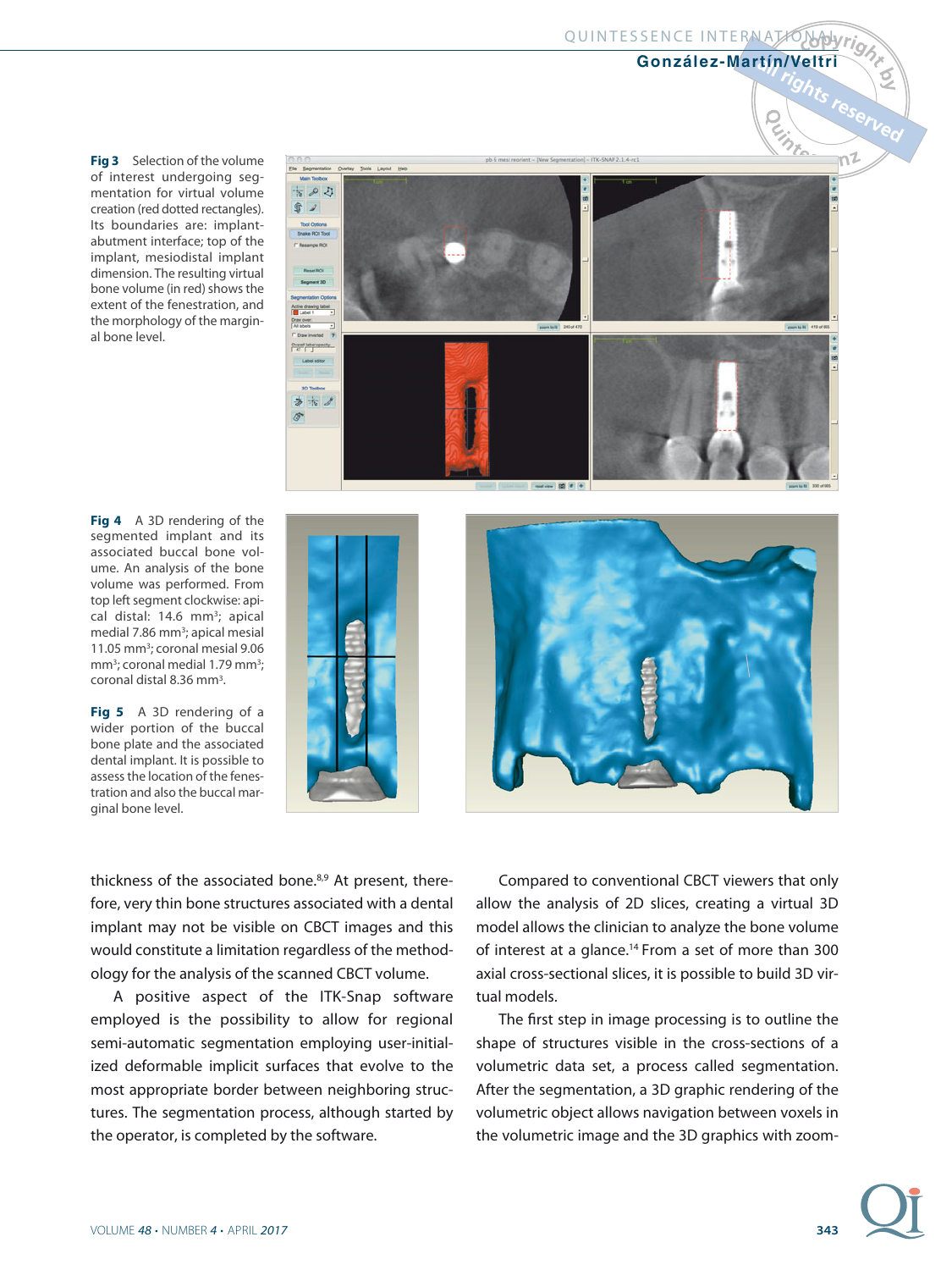#### QUINTESSENCE INTERNATIONALLY

#### **González-Martín/Veltri**

 $\tilde{Q}$ 

**Fig 3** Selection of the volume of interest undergoing segmentation for virtual volume creation (red dotted rectangles). Its boundaries are: implantabutment interface; top of the implant, mesiodistal implant dimension. The resulting virtual bone volume (in red) shows the extent of the fenestration, and the morphology of the marginal bone level.

**Fig 4** A 3D rendering of the segmented implant and its associated buccal bone volume. An analysis of the bone volume was performed. From top left segment clockwise: apical distal: 14.6 mm<sup>3</sup>; apical medial 7.86 mm<sup>3</sup>; apical mesial 11.05 mm<sup>3</sup>; coronal mesial 9.06 mm<sup>3</sup>; coronal medial 1.79 mm<sup>3</sup>; coronal distal 8.36 mm3.

**Fig 5** A 3D rendering of a wider portion of the buccal bone plate and the associated dental implant. It is possible to assess the location of the fenestration and also the buccal marginal bone level.



 $1 - \text{ITK-SNAP } 2.1.4$ -rc

thickness of the associated bone.<sup>8,9</sup> At present, therefore, very thin bone structures associated with a dental implant may not be visible on CBCT images and this would constitute a limitation regardless of the methodology for the analysis of the scanned CBCT volume.

A positive aspect of the ITK-Snap software employed is the possibility to allow for regional semi-automatic segmentation employing user-initialized deformable implicit surfaces that evolve to the most appropriate border between neighboring structures. The segmentation process, although started by the operator, is completed by the software.

Compared to conventional CBCT viewers that only allow the analysis of 2D slices, creating a virtual 3D model allows the clinician to analyze the bone volume of interest at a glance.<sup>14</sup> From a set of more than 300 axial cross-sectional slices, it is possible to build 3D virtual models.

The first step in image processing is to outline the shape of structures visible in the cross-sections of a volumetric data set, a process called segmentation. After the segmentation, a 3D graphic rendering of the volumetric object allows navigation between voxels in the volumetric image and the 3D graphics with zoom-